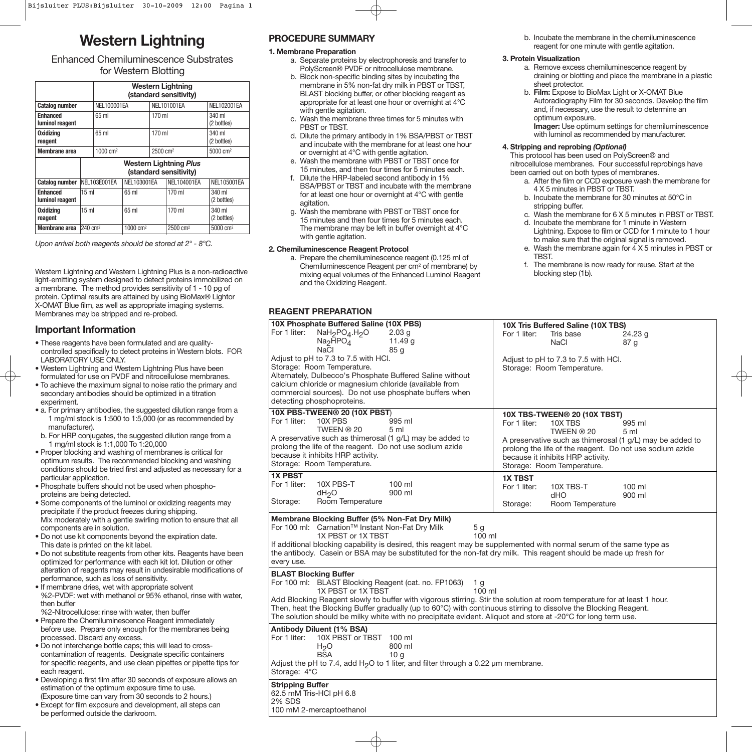# **Western Lightning**

Enhanced Chemiluminescence Substrates for Western Blotting

|                                           |                     | <b>Western Lightning</b><br>(standard sensitivity)      |                      |                     |                     |                       |  |
|-------------------------------------------|---------------------|---------------------------------------------------------|----------------------|---------------------|---------------------|-----------------------|--|
| <b>Catalog number</b>                     | NEL100001EA         |                                                         |                      |                     | NEL101001EA         | NEL102001EA           |  |
| <b>Enhanced</b><br><b>luminol reagent</b> |                     | 65 ml                                                   |                      | 170 ml              |                     | 340 ml<br>(2 bottles) |  |
| <b>Oxidizing</b><br>reagent               |                     | $65$ ml                                                 |                      | 170 ml              |                     | 340 ml<br>(2 bottles) |  |
| <b>Membrane</b> area                      |                     | $1000 \, \text{cm}^2$                                   |                      | $2500 \text{ cm}^2$ |                     | 5000 cm <sup>2</sup>  |  |
|                                           |                     | <b>Western Lightning Plus</b><br>(standard sensitivity) |                      |                     |                     |                       |  |
| <b>Catalog number</b>                     | NEL103E001EA        |                                                         | NEL103001EA          |                     | <b>NEL104001EA</b>  | <b>NEL105001EA</b>    |  |
| <b>Enhanced</b><br><b>luminol reagent</b> | 15 <sub>m</sub>     |                                                         | 65 ml                |                     | 170 ml              | 340 ml<br>(2 bottles) |  |
| <b>Oxidizing</b><br>reagent               | 15 <sub>m</sub>     |                                                         | 65 ml                |                     | 170 ml              | 340 ml<br>(2 bottles) |  |
| Membrane area                             | 240 cm <sup>2</sup> |                                                         | 1000 cm <sup>2</sup> |                     | $2500 \text{ cm}^2$ | 5000 cm <sup>2</sup>  |  |

*Upon arrival both reagents should be stored at 2° - 8°C.*

Western Lightning and Western Lightning Plus is a non-radioactive light-emitting system designed to detect proteins immobilized on a membrane. The method provides sensitivity of 1 - 10 pg of protein. Optimal results are attained by using BioMax® Lightor X-OMAT Blue film, as well as appropriate imaging systems. Membranes may be stripped and re-probed.

## **Important Information**

- These reagents have been formulated and are qualitycontrolled specifically to detect proteins in Western blots. FOR LABORATORY USE ONLY.
- Western Lightning and Western Lightning Plus have been formulated for use on PVDF and nitrocellulose membranes.
- To achieve the maximum signal to noise ratio the primary and secondary antibodies should be optimized in a titration experiment.
- a. For primary antibodies, the suggested dilution range from a 1 mg/ml stock is 1:500 to 1:5,000 (or as recommended by manufacturer).
- b. For HRP conjugates, the suggested dilution range from a 1 mg/ml stock is 1:1,000 To 1:20,000
- Proper blocking and washing of membranes is critical for optimum results. The recommended blocking and washing conditions should be tried first and adjusted as necessary for a particular application.
- Phosphate buffers should not be used when phosphoproteins are being detected.
- Some components of the luminol or oxidizing reagents may precipitate if the product freezes during shipping. Mix moderately with a gentle swirling motion to ensure that all components are in solution.
- Do not use kit components beyond the expiration date. This date is printed on the kit label.
- Do not substitute reagents from other kits. Reagents have been optimized for performance with each kit lot. Dilution or other alteration of reagents may result in undesirable modifications of performance, such as loss of sensitivity.

• If membrane dries, wet with appropriate solvent %2-PVDF: wet with methanol or 95% ethanol, rinse with water, then buffer

%2-Nitrocellulose: rinse with water, then buffer • Prepare the Chemiluminescence Reagent immediately before use. Prepare only enough for the membranes being processed. Discard any excess.

- Do not interchange bottle caps; this will lead to crosscontamination of reagents. Designate specific containers for specific reagents, and use clean pipettes or pipette tips for each reagent.
- Developing a first film after 30 seconds of exposure allows an estimation of the optimum exposure time to use. (Exposure time can vary from 30 seconds to 2 hours.)
- Except for film exposure and development, all steps can be performed outside the darkroom.

### **PROCEDURE SUMMARY**

#### **1. Membrane Preparation**

- a. Separate proteins by electrophoresis and transfer to PolyScreen® PVDF or nitrocellulose membrane.
- b. Block non-specific binding sites by incubating the membrane in 5% non-fat dry milk in PBST or TBST, BLAST blocking buffer, or other blocking reagent as appropriate for at least one hour or overnight at 4°C with gentle agitation.
- c. Wash the membrane three times for 5 minutes with PBST or TBST.
- d. Dilute the primary antibody in 1% BSA/PBST or TBST and incubate with the membrane for at least one hour or overnight at 4°C with gentle agitation.
- e. Wash the membrane with PBST or TBST once for 15 minutes, and then four times for 5 minutes each.
- f. Dilute the HRP-labeled second antibody in 1% BSA/PBST or TBST and incubate with the membrane for at least one hour or overnight at 4°C with gentle agitation
- g. Wash the membrane with PBST or TBST once for 15 minutes and then four times for 5 minutes each. The membrane may be left in buffer overnight at 4°C with gentle agitation.

#### **2. Chemiluminescence Reagent Protocol**

a. Prepare the chemiluminescence reagent (0.125 ml of Chemiluminescence Reagent per cm2 of membrane) by mixing equal volumes of the Enhanced Luminol Reagent and the Oxidizing Reagent.

#### **REAGENT PREPARATION**

100 mM 2-mercaptoethanol

| 10X Phosphate Buffered Saline (10X PBS)                                                                                                                                                                                                                                                                                                                                                                                                                                                                 | 10X Tris Buffered Saline (10X TBS)                                                                                                                                                                                                                                                            |
|---------------------------------------------------------------------------------------------------------------------------------------------------------------------------------------------------------------------------------------------------------------------------------------------------------------------------------------------------------------------------------------------------------------------------------------------------------------------------------------------------------|-----------------------------------------------------------------------------------------------------------------------------------------------------------------------------------------------------------------------------------------------------------------------------------------------|
| For 1 liter:<br>$NaH2PO4.H2O$<br>2.03 <sub>q</sub><br>Na <sub>2</sub> HPO <sub>4</sub><br>11.49 g<br>NaCl<br>85 g                                                                                                                                                                                                                                                                                                                                                                                       | Tris base<br>For 1 liter:<br>24.23 <sub>q</sub><br>NaCl<br>87 <sub>g</sub>                                                                                                                                                                                                                    |
| Adjust to pH to 7.3 to 7.5 with HCl.<br>Storage: Room Temperature.<br>Alternately, Dulbecco's Phosphate Buffered Saline without<br>calcium chloride or magnesium chloride (available from<br>commercial sources). Do not use phosphate buffers when<br>detecting phosphoproteins.                                                                                                                                                                                                                       | Adjust to pH to 7.3 to 7.5 with HCl.<br>Storage: Room Temperature.                                                                                                                                                                                                                            |
| 10X PBS-TWEEN® 20 (10X PBST)<br>For 1 liter:<br>10X PBS<br>995 ml<br>TWEEN ® 20<br>5 <sub>m</sub><br>A preservative such as thimerosal (1 g/L) may be added to<br>prolong the life of the reagent. Do not use sodium azide<br>because it inhibits HRP activity.<br>Storage: Room Temperature.                                                                                                                                                                                                           | 10X TBS-TWEEN® 20 (10X TBST)<br>10X TBS<br>For 1 liter:<br>995 ml<br>TWEEN ® 20<br>5 <sub>m</sub><br>A preservative such as thimerosal (1 g/L) may be added to<br>prolong the life of the reagent. Do not use sodium azide<br>because it inhibits HRP activity.<br>Storage: Room Temperature. |
| <b>1X PBST</b><br>For 1 liter:<br>10X PBS-T<br>$100$ ml<br>900 ml<br>dH <sub>2</sub> O<br>Room Temperature<br>Storage:                                                                                                                                                                                                                                                                                                                                                                                  | <b>1X TBST</b><br>For 1 liter:<br>100 ml<br>10X TBS-T<br>900 ml<br>dHO<br>Room Temperature<br>Storage:                                                                                                                                                                                        |
| Membrane Blocking Buffer (5% Non-Fat Dry Milk)<br>For 100 ml: Carnation™ Instant Non-Fat Dry Milk<br>5 <sub>g</sub><br>100 ml<br>1X PBST or 1X TBST<br>If additional blocking capability is desired, this reagent may be supplemented with normal serum of the same type as<br>the antibody. Casein or BSA may be substituted for the non-fat dry milk. This reagent should be made up fresh for<br>every use.                                                                                          |                                                                                                                                                                                                                                                                                               |
| <b>BLAST Blocking Buffer</b><br>For 100 ml: BLAST Blocking Reagent (cat. no. FP1063)<br>1 <sub>g</sub><br>100 ml<br>1X PBST or 1X TBST<br>Add Blocking Reagent slowly to buffer with vigorous stirring. Stir the solution at room temperature for at least 1 hour.<br>Then, heat the Blocking Buffer gradually (up to 60°C) with continuous stirring to dissolve the Blocking Reagent.<br>The solution should be milky white with no precipitate evident. Aliquot and store at -20°C for long term use. |                                                                                                                                                                                                                                                                                               |
| Antibody Diluent (1% BSA)<br>For 1 liter:<br>10X PBST or TBST 100 ml<br>H <sub>2</sub> O<br>800 ml<br><b>B</b> SA<br>10 <sub>g</sub><br>Adjust the pH to 7.4, add $H_2O$ to 1 liter, and filter through a 0.22 $\mu$ m membrane.<br>Storage: 4°C                                                                                                                                                                                                                                                        |                                                                                                                                                                                                                                                                                               |
| <b>Stripping Buffer</b><br>62.5 mM Tris-HCl pH 6.8<br><b>2% SDS</b>                                                                                                                                                                                                                                                                                                                                                                                                                                     |                                                                                                                                                                                                                                                                                               |

b. Incubate the membrane in the chemiluminescence reagent for one minute with gentle agitation.

#### **3. Protein Visualization**

- a. Remove excess chemiluminescence reagent by draining or blotting and place the membrane in a plastic sheet protector.
- b. **Film:** Expose to BioMax Light or X-OMAT Blue Autoradiography Film for 30 seconds. Develop the film and, if necessary, use the result to determine an optimum exposure. **Imager:** Use optimum settings for chemiluminescence with luminol as recommended by manufacturer.

**4. Stripping and reprobing** *(Optional)*

This protocol has been used on PolyScreen® and nitrocellulose membranes. Four successful reprobings have been carried out on both types of membranes.

- a. After the film or CCD exposure wash the membrane for 4 X 5 minutes in PBST or TBST.
- b. Incubate the membrane for 30 minutes at 50°C in stripping buffer.
- c. Wash the membrane for 6 X 5 minutes in PBST or TBST.
- d. Incubate the membrane for 1 minute in Western Lightning. Expose to film or CCD for 1 minute to 1 hour to make sure that the original signal is removed.
- e. Wash the membrane again for 4 X 5 minutes in PBST or TBST.
- f. The membrane is now ready for reuse. Start at the blocking step (1b).